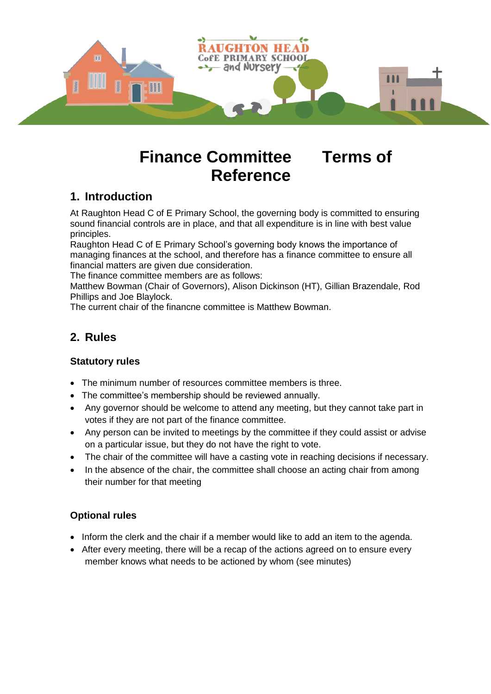

# **Finance Committee Terms of Reference**

# **1. Introduction**

At Raughton Head C of E Primary School, the governing body is committed to ensuring sound financial controls are in place, and that all expenditure is in line with best value principles.

Raughton Head C of E Primary School's governing body knows the importance of managing finances at the school, and therefore has a finance committee to ensure all financial matters are given due consideration.

The finance committee members are as follows:

Matthew Bowman (Chair of Governors), Alison Dickinson (HT), Gillian Brazendale, Rod Phillips and Joe Blaylock.

The current chair of the financne committee is Matthew Bowman.

# **2. Rules**

#### **Statutory rules**

- The minimum number of resources committee members is three.
- The committee's membership should be reviewed annually.
- Any governor should be welcome to attend any meeting, but they cannot take part in votes if they are not part of the finance committee.
- Any person can be invited to meetings by the committee if they could assist or advise on a particular issue, but they do not have the right to vote.
- The chair of the committee will have a casting vote in reaching decisions if necessary.
- In the absence of the chair, the committee shall choose an acting chair from among their number for that meeting

#### **Optional rules**

- Inform the clerk and the chair if a member would like to add an item to the agenda.
- After every meeting, there will be a recap of the actions agreed on to ensure every member knows what needs to be actioned by whom (see minutes)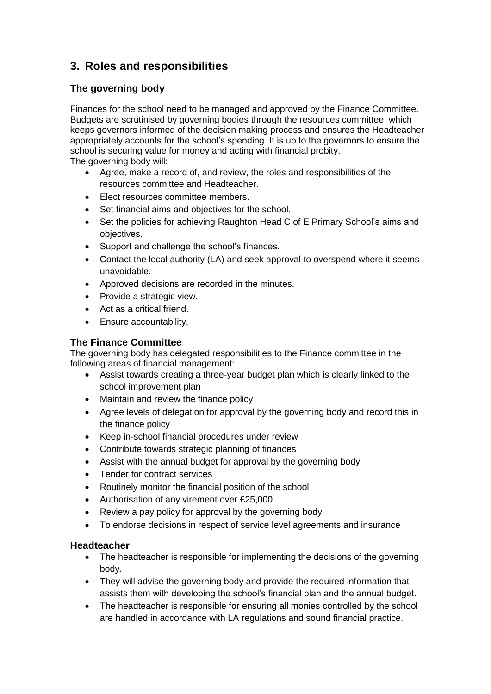# **3. Roles and responsibilities**

#### **The governing body**

Finances for the school need to be managed and approved by the Finance Committee. Budgets are scrutinised by governing bodies through the resources committee, which keeps governors informed of the decision making process and ensures the Headteacher appropriately accounts for the school's spending. It is up to the governors to ensure the school is securing value for money and acting with financial probity. The governing body will:

- Agree, make a record of, and review, the roles and responsibilities of the resources committee and Headteacher.
- Elect resources committee members.
- Set financial aims and objectives for the school.
- Set the policies for achieving Raughton Head C of E Primary School's aims and objectives.
- Support and challenge the school's finances.
- Contact the local authority (LA) and seek approval to overspend where it seems unavoidable.
- Approved decisions are recorded in the minutes.
- Provide a strategic view.
- Act as a critical friend.
- Ensure accountability.

#### **The Finance Committee**

The governing body has delegated responsibilities to the Finance committee in the following areas of financial management:

- Assist towards creating a three-year budget plan which is clearly linked to the school improvement plan
- Maintain and review the finance policy
- Agree levels of delegation for approval by the governing body and record this in the finance policy
- Keep in-school financial procedures under review
- Contribute towards strategic planning of finances
- Assist with the annual budget for approval by the governing body
- Tender for contract services
- Routinely monitor the financial position of the school
- Authorisation of any virement over £25,000
- Review a pay policy for approval by the governing body
- To endorse decisions in respect of service level agreements and insurance

#### **Headteacher**

- The headteacher is responsible for implementing the decisions of the governing body.
- They will advise the governing body and provide the required information that assists them with developing the school's financial plan and the annual budget.
- The headteacher is responsible for ensuring all monies controlled by the school are handled in accordance with LA regulations and sound financial practice.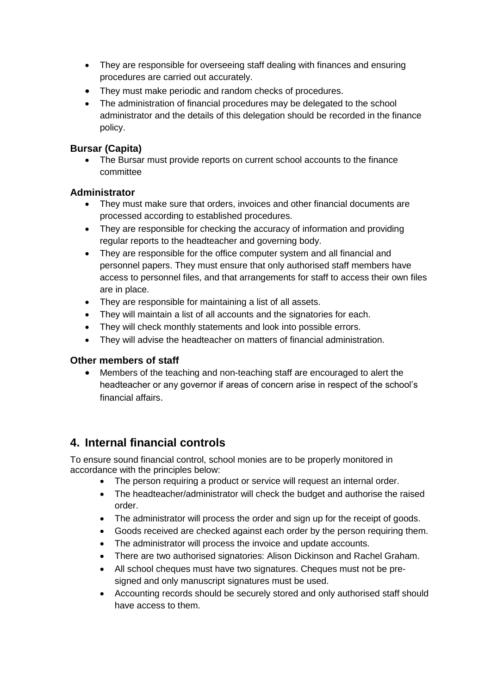- They are responsible for overseeing staff dealing with finances and ensuring procedures are carried out accurately.
- They must make periodic and random checks of procedures.
- The administration of financial procedures may be delegated to the school administrator and the details of this delegation should be recorded in the finance policy.

#### **Bursar (Capita)**

• The Bursar must provide reports on current school accounts to the finance committee

#### **Administrator**

- They must make sure that orders, invoices and other financial documents are processed according to established procedures.
- They are responsible for checking the accuracy of information and providing regular reports to the headteacher and governing body.
- They are responsible for the office computer system and all financial and personnel papers. They must ensure that only authorised staff members have access to personnel files, and that arrangements for staff to access their own files are in place.
- They are responsible for maintaining a list of all assets.
- They will maintain a list of all accounts and the signatories for each.
- They will check monthly statements and look into possible errors.
- They will advise the headteacher on matters of financial administration.

#### **Other members of staff**

• Members of the teaching and non-teaching staff are encouraged to alert the headteacher or any governor if areas of concern arise in respect of the school's financial affairs.

# **4. Internal financial controls**

To ensure sound financial control, school monies are to be properly monitored in accordance with the principles below:

- The person requiring a product or service will request an internal order.
- The headteacher/administrator will check the budget and authorise the raised order.
- The administrator will process the order and sign up for the receipt of goods.
- Goods received are checked against each order by the person requiring them.
- The administrator will process the invoice and update accounts.
- There are two authorised signatories: Alison Dickinson and Rachel Graham.
- All school cheques must have two signatures. Cheques must not be presigned and only manuscript signatures must be used.
- Accounting records should be securely stored and only authorised staff should have access to them.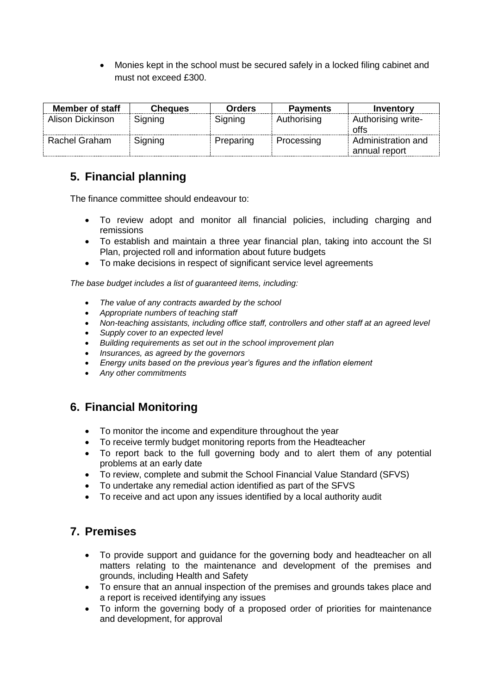• Monies kept in the school must be secured safely in a locked filing cabinet and must not exceed £300.

| <b>Member of staff</b> | <b>Cheques</b> | <b>Orders</b> | <b>Payments</b> | Inventory                           |
|------------------------|----------------|---------------|-----------------|-------------------------------------|
| Alison Dickinson       | Signing        | Signing       | Authorising     | Authorising write-<br>offs          |
| Rachel Graham          | Signing        | Preparing     | Processing      | Administration and<br>annual report |

#### **5. Financial planning**  $h_{\rm min}$

The finance committee should endeavour to:

- To review adopt and monitor all financial policies, including charging and remissions
- To establish and maintain a three year financial plan, taking into account the SI Plan, projected roll and information about future budgets
- To make decisions in respect of significant service level agreements

*The base budget includes a list of guaranteed items, including:*

- *The value of any contracts awarded by the school*
- *Appropriate numbers of teaching staff*
- *Non-teaching assistants, including office staff, controllers and other staff at an agreed level*
- *Supply cover to an expected level*
- *Building requirements as set out in the school improvement plan*
- *Insurances, as agreed by the governors*
- *Energy units based on the previous year's figures and the inflation element*
- *Any other commitments*

### **6. Financial Monitoring**

- To monitor the income and expenditure throughout the year
- To receive termly budget monitoring reports from the Headteacher
- To report back to the full governing body and to alert them of any potential problems at an early date
- To review, complete and submit the School Financial Value Standard (SFVS)
- To undertake any remedial action identified as part of the SFVS
- To receive and act upon any issues identified by a local authority audit

### **7. Premises**

- To provide support and guidance for the governing body and headteacher on all matters relating to the maintenance and development of the premises and grounds, including Health and Safety
- To ensure that an annual inspection of the premises and grounds takes place and a report is received identifying any issues
- To inform the governing body of a proposed order of priorities for maintenance and development, for approval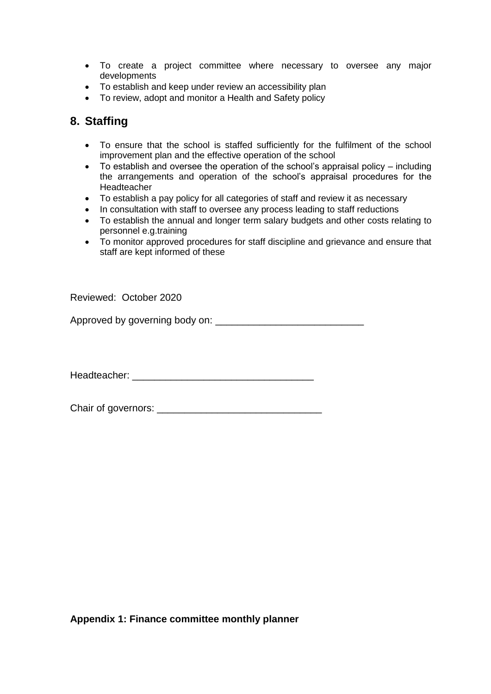- To create a project committee where necessary to oversee any major developments
- To establish and keep under review an accessibility plan
- To review, adopt and monitor a Health and Safety policy

## **8. Staffing**

- To ensure that the school is staffed sufficiently for the fulfilment of the school improvement plan and the effective operation of the school
- To establish and oversee the operation of the school's appraisal policy including the arrangements and operation of the school's appraisal procedures for the Headteacher
- To establish a pay policy for all categories of staff and review it as necessary
- In consultation with staff to oversee any process leading to staff reductions
- To establish the annual and longer term salary budgets and other costs relating to personnel e.g.training
- To monitor approved procedures for staff discipline and grievance and ensure that staff are kept informed of these

Reviewed: October 2020

Approved by governing body on: \_\_\_\_\_\_\_\_\_\_\_\_\_\_\_\_\_\_\_\_\_\_\_\_\_\_\_

Headteacher: **Website and the set of the set of the set of the set of the set of the set of the set of the set of the set of the set of the set of the set of the set of the set of the set of the set of the set of the set o** 

Chair of governors: \_\_\_\_\_\_\_\_\_\_\_\_\_\_\_\_\_\_\_\_\_\_\_\_\_\_\_\_\_\_

**Appendix 1: Finance committee monthly planner**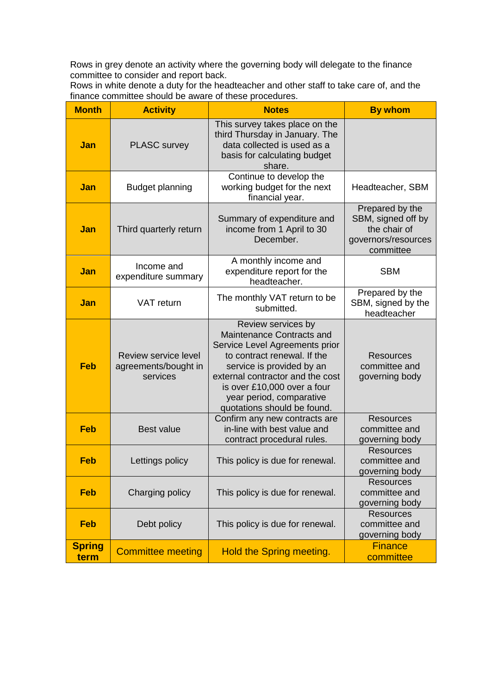Rows in grey denote an activity where the governing body will delegate to the finance committee to consider and report back.

Rows in white denote a duty for the headteacher and other staff to take care of, and the finance committee should be aware of these procedures.

| <b>Month</b>          | <b>Activity</b>                                          | <b>Notes</b>                                                                                                                                                                                                                                                                | <b>By whom</b>                                                                            |
|-----------------------|----------------------------------------------------------|-----------------------------------------------------------------------------------------------------------------------------------------------------------------------------------------------------------------------------------------------------------------------------|-------------------------------------------------------------------------------------------|
| Jan                   | <b>PLASC survey</b>                                      | This survey takes place on the<br>third Thursday in January. The<br>data collected is used as a<br>basis for calculating budget<br>share.                                                                                                                                   |                                                                                           |
| Jan                   | <b>Budget planning</b>                                   | Continue to develop the<br>working budget for the next<br>financial year.                                                                                                                                                                                                   | Headteacher, SBM                                                                          |
| <b>Jan</b>            | Third quarterly return                                   | Summary of expenditure and<br>income from 1 April to 30<br>December.                                                                                                                                                                                                        | Prepared by the<br>SBM, signed off by<br>the chair of<br>governors/resources<br>committee |
| <b>Jan</b>            | Income and<br>expenditure summary                        | A monthly income and<br>expenditure report for the<br>headteacher.                                                                                                                                                                                                          | <b>SBM</b>                                                                                |
| Jan                   | <b>VAT</b> return                                        | The monthly VAT return to be<br>submitted.                                                                                                                                                                                                                                  | Prepared by the<br>SBM, signed by the<br>headteacher                                      |
| Feb                   | Review service level<br>agreements/bought in<br>services | Review services by<br>Maintenance Contracts and<br>Service Level Agreements prior<br>to contract renewal. If the<br>service is provided by an<br>external contractor and the cost<br>is over £10,000 over a four<br>year period, comparative<br>quotations should be found. | <b>Resources</b><br>committee and<br>governing body                                       |
| <b>Feb</b>            | <b>Best value</b>                                        | Confirm any new contracts are<br>in-line with best value and<br>contract procedural rules.                                                                                                                                                                                  | <b>Resources</b><br>committee and<br>governing body                                       |
| <b>Feb</b>            | Lettings policy                                          | This policy is due for renewal.                                                                                                                                                                                                                                             | <b>Resources</b><br>committee and<br>governing body                                       |
| <b>Feb</b>            | Charging policy                                          | This policy is due for renewal.                                                                                                                                                                                                                                             | <b>Resources</b><br>committee and<br>governing body                                       |
| <b>Feb</b>            | Debt policy                                              | This policy is due for renewal.                                                                                                                                                                                                                                             | <b>Resources</b><br>committee and<br>governing body                                       |
| <b>Spring</b><br>term | <b>Committee meeting</b>                                 | Hold the Spring meeting.                                                                                                                                                                                                                                                    | <b>Finance</b><br>committee                                                               |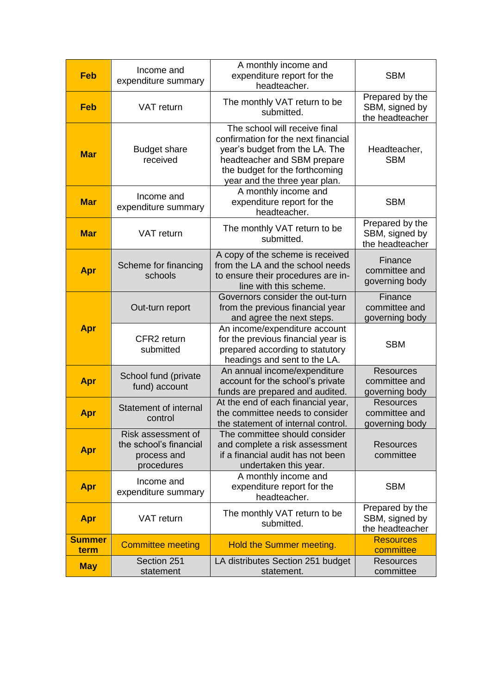| <b>Feb</b>            | Income and<br>expenditure summary                                         | A monthly income and<br>expenditure report for the<br>headteacher.                                                                                                                                       | <b>SBM</b>                                           |
|-----------------------|---------------------------------------------------------------------------|----------------------------------------------------------------------------------------------------------------------------------------------------------------------------------------------------------|------------------------------------------------------|
| <b>Feb</b>            | VAT return                                                                | The monthly VAT return to be<br>submitted.                                                                                                                                                               | Prepared by the<br>SBM, signed by<br>the headteacher |
| <b>Mar</b>            | <b>Budget share</b><br>received                                           | The school will receive final<br>confirmation for the next financial<br>year's budget from the LA. The<br>headteacher and SBM prepare<br>the budget for the forthcoming<br>year and the three year plan. | Headteacher,<br><b>SBM</b>                           |
| <b>Mar</b>            | Income and<br>expenditure summary                                         | A monthly income and<br>expenditure report for the<br>headteacher.                                                                                                                                       | <b>SBM</b>                                           |
| <b>Mar</b>            | VAT return                                                                | The monthly VAT return to be<br>submitted.                                                                                                                                                               | Prepared by the<br>SBM, signed by<br>the headteacher |
| Apr                   | Scheme for financing<br>schools                                           | A copy of the scheme is received<br>from the LA and the school needs<br>to ensure their procedures are in-<br>line with this scheme.                                                                     | Finance<br>committee and<br>governing body           |
|                       | Out-turn report                                                           | Governors consider the out-turn<br>from the previous financial year<br>and agree the next steps.                                                                                                         | Finance<br>committee and<br>governing body           |
| Apr                   | CFR2 return<br>submitted                                                  | An income/expenditure account<br>for the previous financial year is<br>prepared according to statutory<br>headings and sent to the LA.                                                                   | <b>SBM</b>                                           |
| Apr                   | School fund (private<br>fund) account                                     | An annual income/expenditure<br>account for the school's private<br>funds are prepared and audited.                                                                                                      | <b>Resources</b><br>committee and<br>governing body  |
| Apr                   | <b>Statement of internal</b><br>control                                   | At the end of each financial year,<br>the committee needs to consider<br>the statement of internal control.                                                                                              | <b>Resources</b><br>committee and<br>governing body  |
| Apr                   | Risk assessment of<br>the school's financial<br>process and<br>procedures | The committee should consider<br>and complete a risk assessment<br>if a financial audit has not been<br>undertaken this year.                                                                            | Resources<br>committee                               |
| Apr                   | Income and<br>expenditure summary                                         | A monthly income and<br>expenditure report for the<br>headteacher.                                                                                                                                       | <b>SBM</b>                                           |
| Apr                   | VAT return                                                                | The monthly VAT return to be<br>submitted.                                                                                                                                                               | Prepared by the<br>SBM, signed by<br>the headteacher |
| <b>Summer</b><br>term | <b>Committee meeting</b>                                                  | Hold the Summer meeting.                                                                                                                                                                                 | <b>Resources</b><br>committee                        |
| <b>May</b>            | Section 251<br>statement                                                  | LA distributes Section 251 budget<br>statement.                                                                                                                                                          | <b>Resources</b><br>committee                        |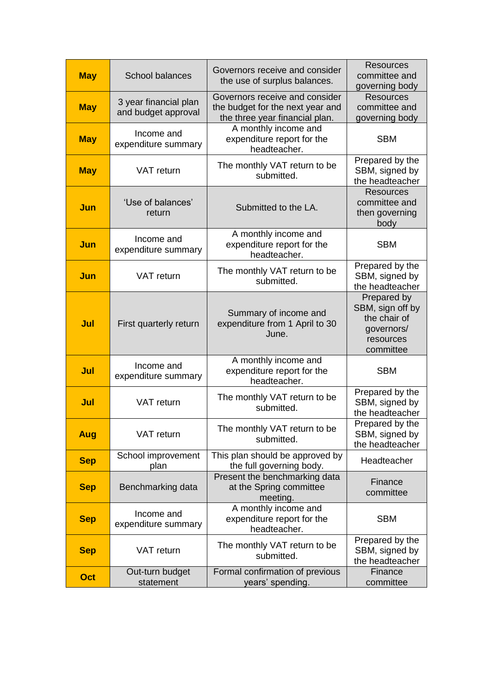| <b>May</b> | <b>School balances</b>                       | Governors receive and consider<br>the use of surplus balances.                                       | Resources<br>committee and<br>governing body                                            |
|------------|----------------------------------------------|------------------------------------------------------------------------------------------------------|-----------------------------------------------------------------------------------------|
| <b>May</b> | 3 year financial plan<br>and budget approval | Governors receive and consider<br>the budget for the next year and<br>the three year financial plan. | <b>Resources</b><br>committee and<br>governing body                                     |
| <b>May</b> | Income and<br>expenditure summary            | A monthly income and<br>expenditure report for the<br>headteacher.                                   | <b>SBM</b>                                                                              |
| <b>May</b> | <b>VAT</b> return                            | The monthly VAT return to be<br>submitted.                                                           | Prepared by the<br>SBM, signed by<br>the headteacher                                    |
| Jun        | 'Use of balances'<br>return                  | Submitted to the LA.                                                                                 | <b>Resources</b><br>committee and<br>then governing<br>body                             |
| Jun        | Income and<br>expenditure summary            | A monthly income and<br>expenditure report for the<br>headteacher.                                   | <b>SBM</b>                                                                              |
| Jun        | <b>VAT</b> return                            | The monthly VAT return to be<br>submitted.                                                           | Prepared by the<br>SBM, signed by<br>the headteacher                                    |
| Jul        | First quarterly return                       | Summary of income and<br>expenditure from 1 April to 30<br>June.                                     | Prepared by<br>SBM, sign off by<br>the chair of<br>governors/<br>resources<br>committee |
| Jul        | Income and<br>expenditure summary            | A monthly income and<br>expenditure report for the<br>headteacher.                                   | <b>SBM</b>                                                                              |
| Jul        | VAT return                                   | The monthly VAT return to be<br>submitted.                                                           | Prepared by the<br>SBM, signed by<br>the headteacher                                    |
| Aug        | VAT return                                   | The monthly VAT return to be<br>submitted.                                                           | Prepared by the<br>SBM, signed by<br>the headteacher                                    |
| <b>Sep</b> | School improvement<br>plan                   | This plan should be approved by<br>the full governing body.                                          | Headteacher                                                                             |
| <b>Sep</b> | Benchmarking data                            | Present the benchmarking data<br>at the Spring committee<br>meeting.                                 | Finance<br>committee                                                                    |
| <b>Sep</b> | Income and<br>expenditure summary            | A monthly income and<br>expenditure report for the<br>headteacher.                                   | <b>SBM</b>                                                                              |
| <b>Sep</b> | VAT return                                   | The monthly VAT return to be<br>submitted.                                                           | Prepared by the<br>SBM, signed by<br>the headteacher                                    |
| Oct        | Out-turn budget<br>statement                 | Formal confirmation of previous<br>years' spending.                                                  | Finance<br>committee                                                                    |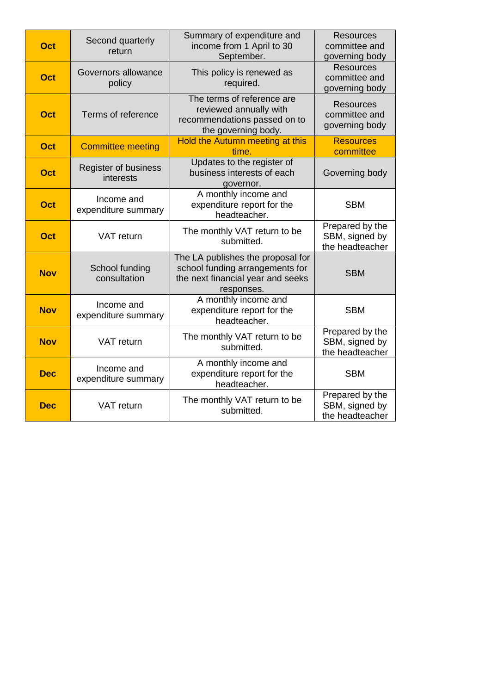| Oct        | Second quarterly<br>return        | Summary of expenditure and<br>income from 1 April to 30<br>September.                                                   | <b>Resources</b><br>committee and<br>governing body  |
|------------|-----------------------------------|-------------------------------------------------------------------------------------------------------------------------|------------------------------------------------------|
| Oct        | Governors allowance<br>policy     | This policy is renewed as<br>required.                                                                                  | <b>Resources</b><br>committee and<br>governing body  |
| Oct        | Terms of reference                | The terms of reference are<br>reviewed annually with<br>recommendations passed on to<br>the governing body.             | <b>Resources</b><br>committee and<br>governing body  |
| <b>Oct</b> | <b>Committee meeting</b>          | Hold the Autumn meeting at this<br>time.                                                                                | <b>Resources</b><br>committee                        |
| <b>Oct</b> | Register of business<br>interests | Updates to the register of<br>business interests of each<br>governor.                                                   | Governing body                                       |
| Oct        | Income and<br>expenditure summary | A monthly income and<br>expenditure report for the<br>headteacher.                                                      | <b>SBM</b>                                           |
| <b>Oct</b> | VAT return                        | The monthly VAT return to be<br>submitted.                                                                              | Prepared by the<br>SBM, signed by<br>the headteacher |
| <b>Nov</b> | School funding<br>consultation    | The LA publishes the proposal for<br>school funding arrangements for<br>the next financial year and seeks<br>responses. | <b>SBM</b>                                           |
| <b>Nov</b> | Income and<br>expenditure summary | A monthly income and<br>expenditure report for the<br>headteacher.                                                      | <b>SBM</b>                                           |
| <b>Nov</b> | VAT return                        | The monthly VAT return to be<br>submitted.                                                                              | Prepared by the<br>SBM, signed by<br>the headteacher |
| <b>Dec</b> | Income and<br>expenditure summary | A monthly income and<br>expenditure report for the<br>headteacher.                                                      | <b>SBM</b>                                           |
| <b>Dec</b> | VAT return                        | The monthly VAT return to be<br>submitted.                                                                              | Prepared by the<br>SBM, signed by<br>the headteacher |